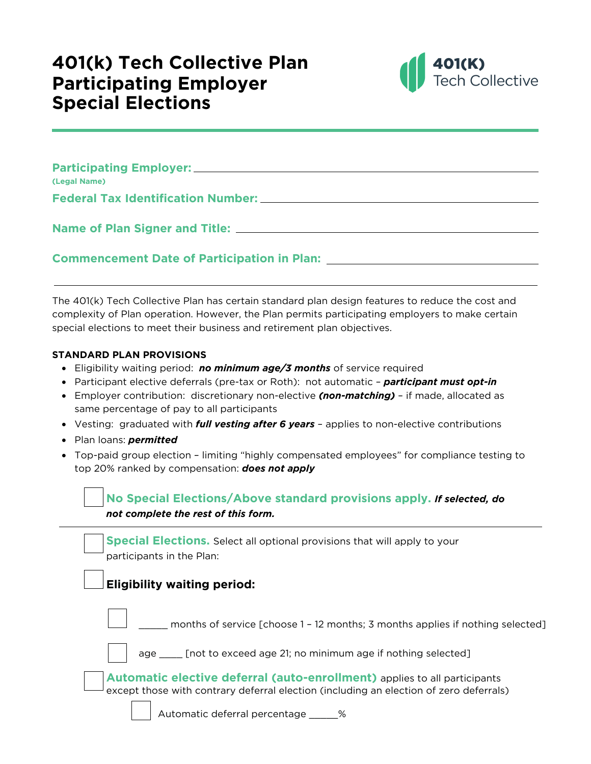## **401(k) Tech Collective Plan Participating Employer Special Elections**



| (Legal Name)                                                                                                          |
|-----------------------------------------------------------------------------------------------------------------------|
|                                                                                                                       |
|                                                                                                                       |
|                                                                                                                       |
|                                                                                                                       |
| <b>Commencement Date of Participation in Plan:</b> National Plane Commencement Communication of Participation in Plan |

The 401(k) Tech Collective Plan has certain standard plan design features to reduce the cost and complexity of Plan operation. However, the Plan permits participating employers to make certain special elections to meet their business and retirement plan objectives.

## **STANDARD PLAN PROVISIONS**

- Eligibility waiting period: *no minimum age/3 months* of service required
- Participant elective deferrals (pre-tax or Roth): not automatic *participant must opt-in*
- Employer contribution: discretionary non-elective *(non-matching)* if made, allocated as same percentage of pay to all participants
- Vesting: graduated with *full vesting after 6 years* applies to non-elective contributions
- Plan loans: *permitted*
- Top-paid group election limiting "highly compensated employees" for compliance testing to top 20% ranked by compensation: *does not apply*

## **No Special Elections/Above standard provisions apply.** *If selected, do not complete the rest of this form.*

| <b>Special Elections.</b> Select all optional provisions that will apply to your<br>participants in the Plan:                                                              |
|----------------------------------------------------------------------------------------------------------------------------------------------------------------------------|
| <b>Eligibility waiting period:</b>                                                                                                                                         |
| months of service [choose 1 - 12 months; 3 months applies if nothing selected]                                                                                             |
| age ______ [not to exceed age 21; no minimum age if nothing selected]                                                                                                      |
| <b>Automatic elective deferral (auto-enrollment)</b> applies to all participants<br>except those with contrary deferral election (including an election of zero deferrals) |
| Automatic deferral percentage                                                                                                                                              |